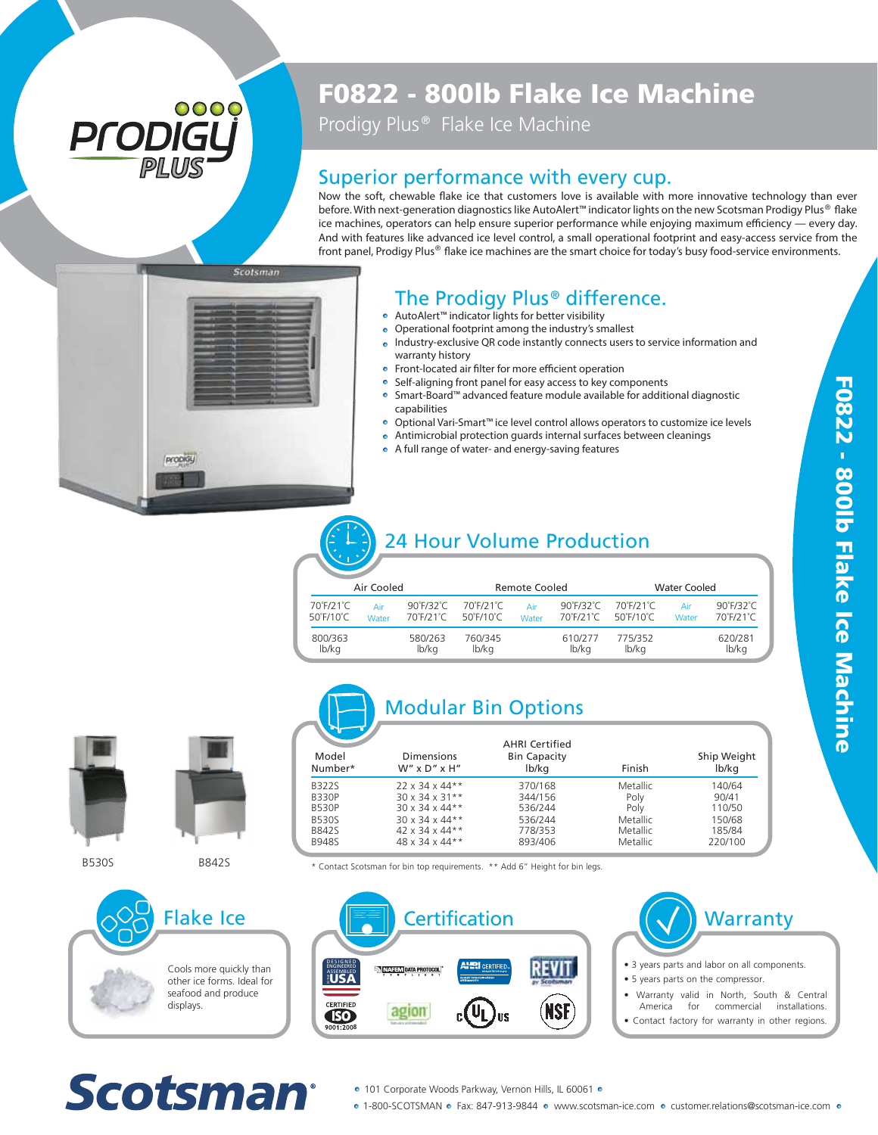# 0000 PI ODI

# F0822 - 800lb Flake Ice Machine

Prodigy Plus<sup>®</sup> Flake Ice Machine

#### Superior performance with every cup.

Now the soft, chewable flake ice that customers love is available with more innovative technology than ever before. With next-generation diagnostics like AutoAlert™ indicator lights on the new Scotsman Prodigy Plus® flake ice machines, operators can help ensure superior performance while enjoying maximum efficiency — every day. And with features like advanced ice level control, a small operational footprint and easy-access service from the front panel, Prodigy Plus $^{\circledast}$  flake ice machines are the smart choice for today's busy food-service environments.



#### The Prodigy Plus<sup>®</sup> difference.

- AutoAlert™ indicator lights for better visibility
- Operational footprint among the industry's smallest
- Industry-exclusive QR code instantly connects users to service information and warranty history
- Front-located air filter for more efficient operation
- Self-aligning front panel for easy access to key components
- Smart-Board™ advanced feature module available for additional diagnostic capabilities
- Optional Vari-Smart™ ice level control allows operators to customize ice levels
- Antimicrobial protection guards internal surfaces between cleanings A full range of water- and energy-saving features

### 24 Hour Volume Production

| Air Cooled                                  |              |                                         | Remote Cooled          |              |                                             | <b>Water Cooled</b>    |              |                                         |
|---------------------------------------------|--------------|-----------------------------------------|------------------------|--------------|---------------------------------------------|------------------------|--------------|-----------------------------------------|
| 70°F/21°C<br>$50^{\circ}$ F/10 $^{\circ}$ C | Air<br>Water | $90^\circ$ F/32 $^\circ$ C<br>70°F/21°C | 70°F/21°C<br>50°F/10°C | Air<br>Water | 90°F/32°C<br>$70^{\circ}$ F/21 $^{\circ}$ C | 70°F/21°C<br>50°F/10°C | Air<br>Water | $90^\circ$ F/32 $^\circ$ C<br>70°F/21°C |
| 800/363<br>lb/kg                            |              | 580/263<br>lb/kg                        | 760/345<br>lb/ka       |              | 610/277<br>lb/kg                            | 775/352<br>lb/kg       |              | 620/281<br>lb/kg                        |





displays.

Scotsman

Flake Ice

Cools more quickly than other ice forms. Ideal for seafood and produce



BESOS BESALES TO THE SECOND THE SECOND TO SALE SECOND THE SECOND THE SECOND FOR SALE SCOTS TO BE SALED A LARGE SCOTS THE SALE SCOTS THE SALE SCOTS THE SALE SCOTS TO BE SALED A LARGE SCOTS TO BE SALED A LARGE SCOTS TO BE SA



· 101 Corporate Woods Parkway, Vernon Hills, IL 60061 ·